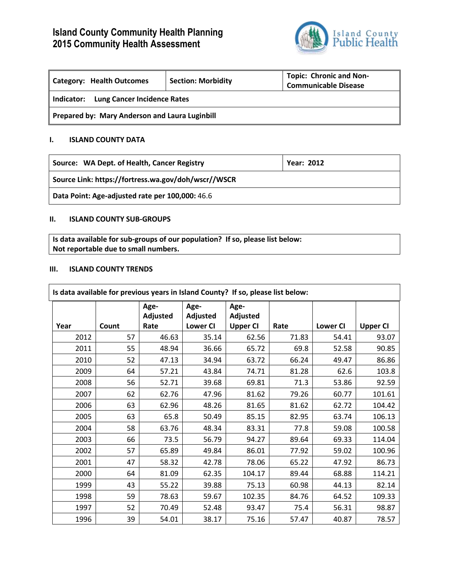# **Island County Community Health Planning 2015 Community Health Assessment**



| <b>Category: Health Outcomes</b>                 | <b>Section: Morbidity</b> | <b>Topic: Chronic and Non-</b><br><b>Communicable Disease</b> |  |  |  |
|--------------------------------------------------|---------------------------|---------------------------------------------------------------|--|--|--|
| <b>Lung Cancer Incidence Rates</b><br>Indicator: |                           |                                                               |  |  |  |
| Prepared by: Mary Anderson and Laura Luginbill   |                           |                                                               |  |  |  |

# **I. ISLAND COUNTY DATA**

| Source: WA Dept. of Health, Cancer Registry         | <b>Year: 2012</b> |
|-----------------------------------------------------|-------------------|
| Source Link: https://fortress.wa.gov/doh/wscr//WSCR |                   |

**Data Point: Age-adjusted rate per 100,000:** 46.6

# **II. ISLAND COUNTY SUB-GROUPS**

**Is data available for sub-groups of our population? If so, please list below: Not reportable due to small numbers.**

#### **III. ISLAND COUNTY TRENDS**

| Is data available for previous years in Island County? If so, please list below: |       |                          |                                     |                                     |       |                 |                 |
|----------------------------------------------------------------------------------|-------|--------------------------|-------------------------------------|-------------------------------------|-------|-----------------|-----------------|
| Year                                                                             | Count | Age-<br>Adjusted<br>Rate | Age-<br>Adjusted<br><b>Lower CI</b> | Age-<br>Adjusted<br><b>Upper CI</b> | Rate  | <b>Lower CI</b> | <b>Upper CI</b> |
| 2012                                                                             | 57    | 46.63                    | 35.14                               | 62.56                               | 71.83 | 54.41           | 93.07           |
| 2011                                                                             | 55    | 48.94                    | 36.66                               | 65.72                               | 69.8  | 52.58           | 90.85           |
| 2010                                                                             | 52    | 47.13                    | 34.94                               | 63.72                               | 66.24 | 49.47           | 86.86           |
| 2009                                                                             | 64    | 57.21                    | 43.84                               | 74.71                               | 81.28 | 62.6            | 103.8           |
| 2008                                                                             | 56    | 52.71                    | 39.68                               | 69.81                               | 71.3  | 53.86           | 92.59           |
| 2007                                                                             | 62    | 62.76                    | 47.96                               | 81.62                               | 79.26 | 60.77           | 101.61          |
| 2006                                                                             | 63    | 62.96                    | 48.26                               | 81.65                               | 81.62 | 62.72           | 104.42          |
| 2005                                                                             | 63    | 65.8                     | 50.49                               | 85.15                               | 82.95 | 63.74           | 106.13          |
| 2004                                                                             | 58    | 63.76                    | 48.34                               | 83.31                               | 77.8  | 59.08           | 100.58          |
| 2003                                                                             | 66    | 73.5                     | 56.79                               | 94.27                               | 89.64 | 69.33           | 114.04          |
| 2002                                                                             | 57    | 65.89                    | 49.84                               | 86.01                               | 77.92 | 59.02           | 100.96          |
| 2001                                                                             | 47    | 58.32                    | 42.78                               | 78.06                               | 65.22 | 47.92           | 86.73           |
| 2000                                                                             | 64    | 81.09                    | 62.35                               | 104.17                              | 89.44 | 68.88           | 114.21          |
| 1999                                                                             | 43    | 55.22                    | 39.88                               | 75.13                               | 60.98 | 44.13           | 82.14           |
| 1998                                                                             | 59    | 78.63                    | 59.67                               | 102.35                              | 84.76 | 64.52           | 109.33          |
| 1997                                                                             | 52    | 70.49                    | 52.48                               | 93.47                               | 75.4  | 56.31           | 98.87           |
| 1996                                                                             | 39    | 54.01                    | 38.17                               | 75.16                               | 57.47 | 40.87           | 78.57           |